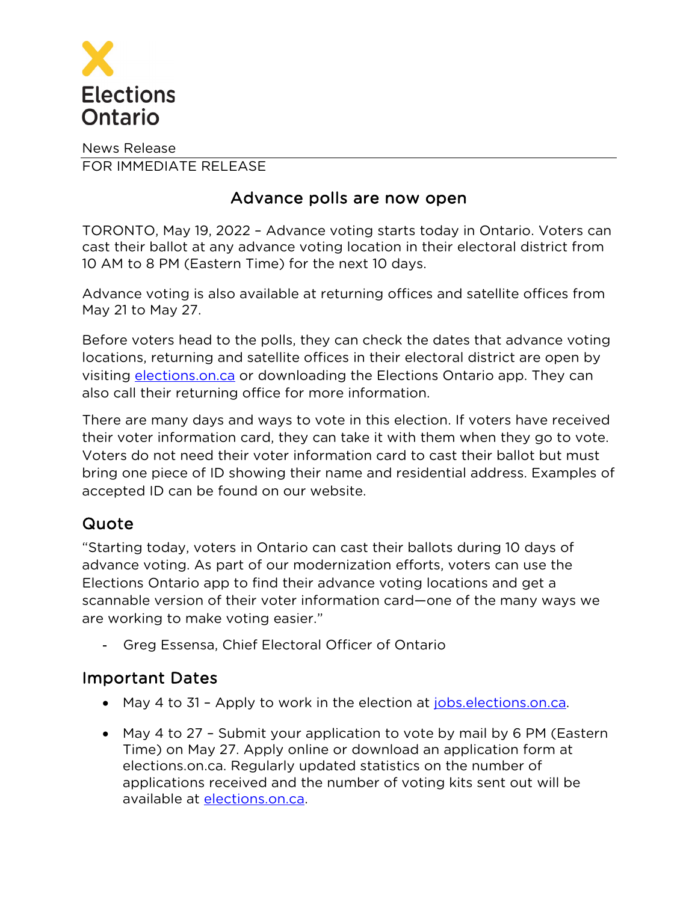

News Release FOR IMMEDIATE RELEASE

## Advance polls are now open

TORONTO, May 19, 2022 – Advance voting starts today in Ontario. Voters can cast their ballot at any advance voting location in their electoral district from 10 AM to 8 PM (Eastern Time) for the next 10 days.

Advance voting is also available at returning offices and satellite offices from May 21 to May 27.

Before voters head to the polls, they can check the dates that advance voting locations, returning and satellite offices in their electoral district are open by visiting [elections.on.ca](https://voterinformationservice.elections.on.ca/) or downloading the Elections Ontario app. They can also call their returning office for more information.

There are many days and ways to vote in this election. If voters have received their voter information card, they can take it with them when they go to vote. Voters do not need their voter information card to cast their ballot but must bring one piece of ID showing their name and residential address. Examples of accepted ID can be found on our website.

## Quote

"Starting today, voters in Ontario can cast their ballots during 10 days of advance voting. As part of our modernization efforts, voters can use the Elections Ontario app to find their advance voting locations and get a scannable version of their voter information card—one of the many ways we are working to make voting easier."

- Greg Essensa, Chief Electoral Officer of Ontario

## Important Dates

- May 4 to 31 Apply to work in the election at [jobs.elections.on.ca.](https://jobs.elections.on.ca/en/apply)
- May 4 to 27 Submit your application to vote by mail by 6 PM (Eastern Time) on May 27. Apply online or download an application form at elections.on.ca. Regularly updated statistics on the number of applications received and the number of voting kits sent out will be available at [elections.on.ca.](http://www.elections.on.ca/)